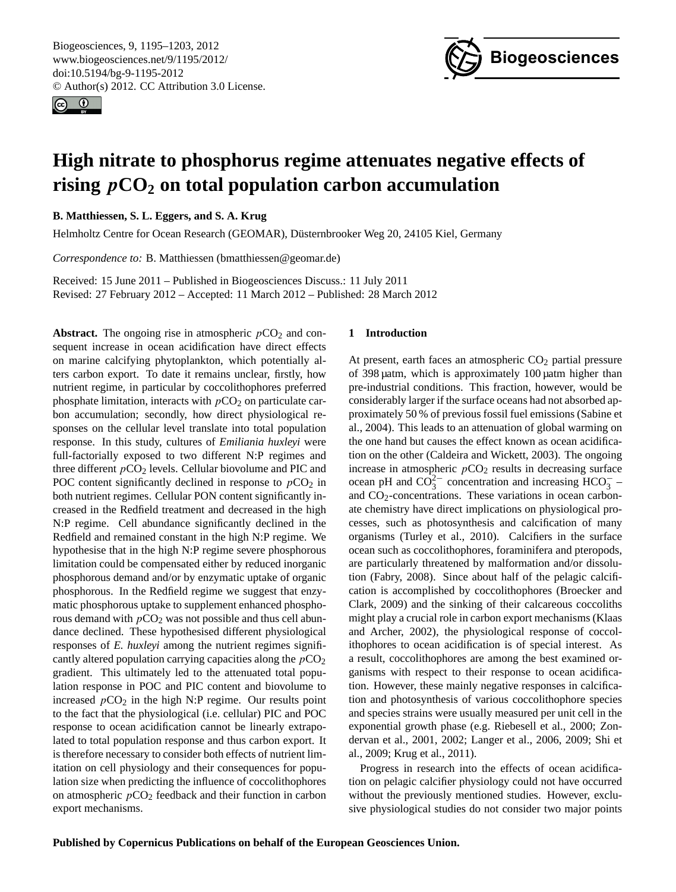<span id="page-0-0"></span>Biogeosciences, 9, 1195–1203, 2012 www.biogeosciences.net/9/1195/2012/ doi:10.5194/bg-9-1195-2012 © Author(s) 2012. CC Attribution 3.0 License.





# **High nitrate to phosphorus regime attenuates negative effects of rising**  $pCO_2$  on total population carbon accumulation

**B. Matthiessen, S. L. Eggers, and S. A. Krug**

Helmholtz Centre for Ocean Research (GEOMAR), Düsternbrooker Weg 20, 24105 Kiel, Germany

*Correspondence to:* B. Matthiessen (bmatthiessen@geomar.de)

Received: 15 June 2011 – Published in Biogeosciences Discuss.: 11 July 2011 Revised: 27 February 2012 – Accepted: 11 March 2012 – Published: 28 March 2012

**Abstract.** The ongoing rise in atmospheric  $pCO_2$  and consequent increase in ocean acidification have direct effects on marine calcifying phytoplankton, which potentially alters carbon export. To date it remains unclear, firstly, how nutrient regime, in particular by coccolithophores preferred phosphate limitation, interacts with  $pCO<sub>2</sub>$  on particulate carbon accumulation; secondly, how direct physiological responses on the cellular level translate into total population response. In this study, cultures of *Emiliania huxleyi* were full-factorially exposed to two different N:P regimes and three different  $pCO<sub>2</sub>$  levels. Cellular biovolume and PIC and POC content significantly declined in response to  $pCO<sub>2</sub>$  in both nutrient regimes. Cellular PON content significantly increased in the Redfield treatment and decreased in the high N:P regime. Cell abundance significantly declined in the Redfield and remained constant in the high N:P regime. We hypothesise that in the high N:P regime severe phosphorous limitation could be compensated either by reduced inorganic phosphorous demand and/or by enzymatic uptake of organic phosphorous. In the Redfield regime we suggest that enzymatic phosphorous uptake to supplement enhanced phosphorous demand with  $pCO<sub>2</sub>$  was not possible and thus cell abundance declined. These hypothesised different physiological responses of *E. huxleyi* among the nutrient regimes significantly altered population carrying capacities along the  $pCO<sub>2</sub>$ gradient. This ultimately led to the attenuated total population response in POC and PIC content and biovolume to increased  $pCO<sub>2</sub>$  in the high N:P regime. Our results point to the fact that the physiological (i.e. cellular) PIC and POC response to ocean acidification cannot be linearly extrapolated to total population response and thus carbon export. It is therefore necessary to consider both effects of nutrient limitation on cell physiology and their consequences for population size when predicting the influence of coccolithophores on atmospheric  $pCO_2$  feedback and their function in carbon export mechanisms.

#### **1 Introduction**

At present, earth faces an atmospheric  $CO<sub>2</sub>$  partial pressure of 398 µatm, which is approximately 100 µatm higher than pre-industrial conditions. This fraction, however, would be considerably larger if the surface oceans had not absorbed approximately 50 % of previous fossil fuel emissions (Sabine et al., 2004). This leads to an attenuation of global warming on the one hand but causes the effect known as ocean acidification on the other (Caldeira and Wickett, 2003). The ongoing increase in atmospheric  $pCO<sub>2</sub>$  results in decreasing surface ocean pH and  $CO_3^{2-}$  concentration and increasing  $HCO_3^-$  and  $CO<sub>2</sub>$ -concentrations. These variations in ocean carbonate chemistry have direct implications on physiological processes, such as photosynthesis and calcification of many organisms (Turley et al., 2010). Calcifiers in the surface ocean such as coccolithophores, foraminifera and pteropods, are particularly threatened by malformation and/or dissolution (Fabry, 2008). Since about half of the pelagic calcification is accomplished by coccolithophores (Broecker and Clark, 2009) and the sinking of their calcareous coccoliths might play a crucial role in carbon export mechanisms (Klaas and Archer, 2002), the physiological response of coccolithophores to ocean acidification is of special interest. As a result, coccolithophores are among the best examined organisms with respect to their response to ocean acidification. However, these mainly negative responses in calcification and photosynthesis of various coccolithophore species and species strains were usually measured per unit cell in the exponential growth phase (e.g. Riebesell et al., 2000; Zondervan et al., 2001, 2002; Langer et al., 2006, 2009; Shi et al., 2009; Krug et al., 2011).

Progress in research into the effects of ocean acidification on pelagic calcifier physiology could not have occurred without the previously mentioned studies. However, exclusive physiological studies do not consider two major points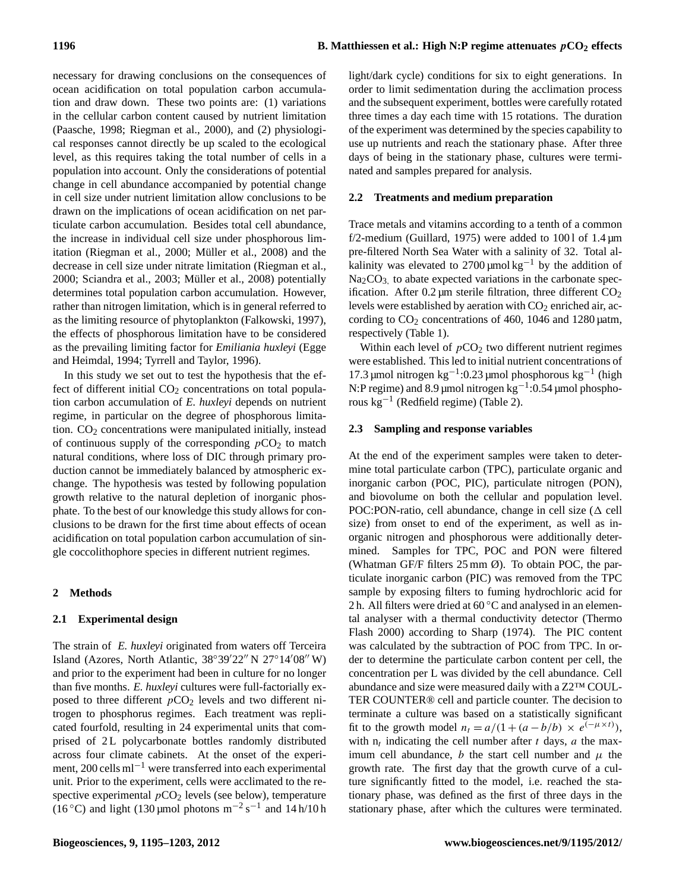necessary for drawing conclusions on the consequences of ocean acidification on total population carbon accumulation and draw down. These two points are: (1) variations in the cellular carbon content caused by nutrient limitation (Paasche, 1998; Riegman et al., 2000), and (2) physiological responses cannot directly be up scaled to the ecological level, as this requires taking the total number of cells in a population into account. Only the considerations of potential change in cell abundance accompanied by potential change in cell size under nutrient limitation allow conclusions to be drawn on the implications of ocean acidification on net particulate carbon accumulation. Besides total cell abundance, the increase in individual cell size under phosphorous limitation (Riegman et al., 2000; Müller et al., 2008) and the decrease in cell size under nitrate limitation (Riegman et al., 2000; Sciandra et al., 2003; Müller et al., 2008) potentially determines total population carbon accumulation. However, rather than nitrogen limitation, which is in general referred to as the limiting resource of phytoplankton (Falkowski, 1997), the effects of phosphorous limitation have to be considered as the prevailing limiting factor for *Emiliania huxleyi* (Egge and Heimdal, 1994; Tyrrell and Taylor, 1996).

In this study we set out to test the hypothesis that the effect of different initial  $CO<sub>2</sub>$  concentrations on total population carbon accumulation of *E. huxleyi* depends on nutrient regime, in particular on the degree of phosphorous limitation.  $CO<sub>2</sub>$  concentrations were manipulated initially, instead of continuous supply of the corresponding  $pCO<sub>2</sub>$  to match natural conditions, where loss of DIC through primary production cannot be immediately balanced by atmospheric exchange. The hypothesis was tested by following population growth relative to the natural depletion of inorganic phosphate. To the best of our knowledge this study allows for conclusions to be drawn for the first time about effects of ocean acidification on total population carbon accumulation of single coccolithophore species in different nutrient regimes.

#### **2 Methods**

#### **2.1 Experimental design**

The strain of *E. huxleyi* originated from waters off Terceira Island (Azores, North Atlantic,  $38^{\circ}39'22''$  N  $27^{\circ}14'08''$  W) and prior to the experiment had been in culture for no longer than five months. *E. huxleyi* cultures were full-factorially exposed to three different  $pCO<sub>2</sub>$  levels and two different nitrogen to phosphorus regimes. Each treatment was replicated fourfold, resulting in 24 experimental units that comprised of 2L polycarbonate bottles randomly distributed across four climate cabinets. At the onset of the experiment, 200 cells ml−<sup>1</sup> were transferred into each experimental unit. Prior to the experiment, cells were acclimated to the respective experimental  $pCO<sub>2</sub>$  levels (see below), temperature (16 °C) and light (130 µmol photons m<sup>-2</sup> s<sup>-1</sup> and 14 h/10 h

light/dark cycle) conditions for six to eight generations. In order to limit sedimentation during the acclimation process and the subsequent experiment, bottles were carefully rotated three times a day each time with 15 rotations. The duration of the experiment was determined by the species capability to use up nutrients and reach the stationary phase. After three days of being in the stationary phase, cultures were terminated and samples prepared for analysis.

#### **2.2 Treatments and medium preparation**

Trace metals and vitamins according to a tenth of a common f/2-medium (Guillard, 1975) were added to 1001 of  $1.4 \,\text{\ensuremath{\mu}m}$ pre-filtered North Sea Water with a salinity of 32. Total alkalinity was elevated to 2700 µmol kg<sup>-1</sup> by the addition of  $Na<sub>2</sub>CO<sub>3</sub>$ , to abate expected variations in the carbonate specification. After  $0.2 \mu m$  sterile filtration, three different  $CO<sub>2</sub>$ levels were established by aeration with  $CO<sub>2</sub>$  enriched air, according to  $CO<sub>2</sub>$  concentrations of 460, 1046 and 1280 µatm, respectively (Table 1).

Within each level of  $pCO<sub>2</sub>$  two different nutrient regimes were established. This led to initial nutrient concentrations of 17.3 µmol nitrogen kg−<sup>1</sup> :0.23 µmol phosphorous kg−<sup>1</sup> (high N:P regime) and 8.9 µmol nitrogen kg<sup>-1</sup>:0.54 µmol phosphorous kg−<sup>1</sup> (Redfield regime) (Table 2).

#### **2.3 Sampling and response variables**

At the end of the experiment samples were taken to determine total particulate carbon (TPC), particulate organic and inorganic carbon (POC, PIC), particulate nitrogen (PON), and biovolume on both the cellular and population level. POC:PON-ratio, cell abundance, change in cell size  $(\Delta$  cell size) from onset to end of the experiment, as well as inorganic nitrogen and phosphorous were additionally determined. Samples for TPC, POC and PON were filtered (Whatman GF/F filters 25 mm Ø). To obtain POC, the particulate inorganic carbon (PIC) was removed from the TPC sample by exposing filters to fuming hydrochloric acid for 2 h. All filters were dried at 60 ℃ and analysed in an elemental analyser with a thermal conductivity detector (Thermo Flash 2000) according to Sharp (1974). The PIC content was calculated by the subtraction of POC from TPC. In order to determine the particulate carbon content per cell, the concentration per L was divided by the cell abundance. Cell abundance and size were measured daily with a Z2™ COUL-TER COUNTER® cell and particle counter. The decision to terminate a culture was based on a statistically significant fit to the growth model  $n_t = a/(1 + (a - b/b) \times e^{(-\mu \times t)})$ , with  $n_t$  indicating the cell number after t days, a the maximum cell abundance, b the start cell number and  $\mu$  the growth rate. The first day that the growth curve of a culture significantly fitted to the model, i.e. reached the stationary phase, was defined as the first of three days in the stationary phase, after which the cultures were terminated.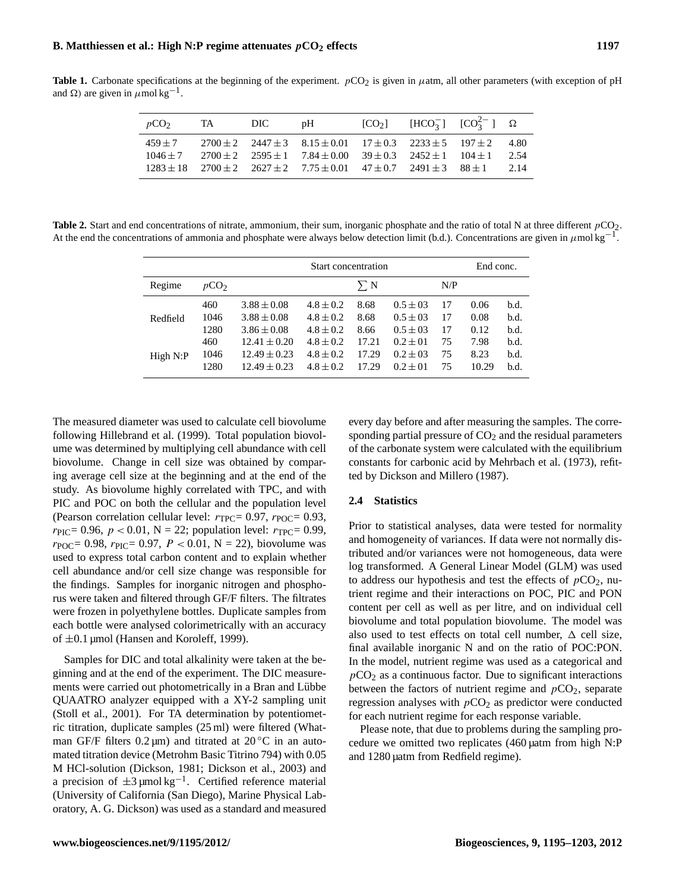**Table 1.** Carbonate specifications at the beginning of the experiment.  $pCO_2$  is given in  $\mu$ atm, all other parameters (with exception of pH and Ω) are given in  $\mu$  mol kg<sup>-1</sup>.

| $pCO2$ TA DIC pH |  |                                                                                                                                                                                                                                                                                             | [CO <sub>2</sub> ] [HCO <sub>3</sub> ] [CO <sub>3</sub> <sup>2</sup> ] $\Omega$ |       |
|------------------|--|---------------------------------------------------------------------------------------------------------------------------------------------------------------------------------------------------------------------------------------------------------------------------------------------|---------------------------------------------------------------------------------|-------|
| $459 + 7$        |  | $2700 \pm 2$ $2447 \pm 3$ $8.15 \pm 0.01$ $17 \pm 0.3$ $2233 \pm 5$ $197 \pm 2$ 4.80<br>$1046 \pm 7$ $2700 \pm 2$ $2595 \pm 1$ $7.84 \pm 0.00$ $39 \pm 0.3$ $2452 \pm 1$ $104 \pm 1$<br>$1283 \pm 18$ $2700 \pm 2$ $2627 \pm 2$ $7.75 \pm 0.01$ $47 \pm 0.7$ $2491 \pm 3$ $88 \pm 1$ $2.14$ |                                                                                 | -2.54 |

**Table 2.** Start and end concentrations of nitrate, ammonium, their sum, inorganic phosphate and the ratio of total N at three different  $pCO_2$ . At the end the concentrations of ammonia and phosphate were always below detection limit (b.d.). Concentrations are given in  $\mu$ mol kg<sup>-1</sup>.

|          |                  | Start concentration |               |            |               |     |       |      |  |
|----------|------------------|---------------------|---------------|------------|---------------|-----|-------|------|--|
| Regime   | pCO <sub>2</sub> |                     |               | $\Sigma N$ |               | N/P |       |      |  |
|          | 460              | $3.88 \pm 0.08$     | $4.8 \pm 0.2$ | 8.68       | $0.5 \pm 0.3$ | 17  | 0.06  | b.d. |  |
| Redfield | 1046             | $3.88 \pm 0.08$     | $4.8 \pm 0.2$ | 8.68       | $0.5 \pm 0.3$ | 17  | 0.08  | b.d. |  |
|          | 1280             | $3.86 \pm 0.08$     | $4.8 \pm 0.2$ | 8.66       | $0.5 \pm 0.3$ | 17  | 0.12  | b.d. |  |
|          | 460              | $12.41 \pm 0.20$    | $4.8 \pm 0.2$ | 17.21      | $0.2 \pm 01$  | 75  | 7.98  | b.d. |  |
| High N:P | 1046             | $12.49 \pm 0.23$    | $4.8 \pm 0.2$ | 17.29      | $0.2 \pm 0.3$ | 75  | 8.23  | b.d. |  |
|          | 1280             | $12.49 \pm 0.23$    | $4.8 \pm 0.2$ | 17.29      | $0.2 \pm 01$  | 75  | 10.29 | b.d. |  |

The measured diameter was used to calculate cell biovolume following Hillebrand et al. (1999). Total population biovolume was determined by multiplying cell abundance with cell biovolume. Change in cell size was obtained by comparing average cell size at the beginning and at the end of the study. As biovolume highly correlated with TPC, and with PIC and POC on both the cellular and the population level (Pearson correlation cellular level:  $r_{TPC} = 0.97$ ,  $r_{POC} = 0.93$ ,  $r_{\text{PIC}} = 0.96, p < 0.01, N = 22$ ; population level:  $r_{\text{TPC}} = 0.99$ ,  $r_{\text{POC}} = 0.98$ ,  $r_{\text{PIC}} = 0.97$ ,  $P < 0.01$ ,  $N = 22$ ), biovolume was used to express total carbon content and to explain whether cell abundance and/or cell size change was responsible for the findings. Samples for inorganic nitrogen and phosphorus were taken and filtered through GF/F filters. The filtrates were frozen in polyethylene bottles. Duplicate samples from each bottle were analysed colorimetrically with an accuracy of  $\pm 0.1$  µmol (Hansen and Koroleff, 1999).

Samples for DIC and total alkalinity were taken at the beginning and at the end of the experiment. The DIC measurements were carried out photometrically in a Bran and Lübbe QUAATRO analyzer equipped with a XY-2 sampling unit (Stoll et al., 2001). For TA determination by potentiometric titration, duplicate samples (25 ml) were filtered (Whatman GF/F filters  $0.2 \mu m$ ) and titrated at  $20 \degree C$  in an automated titration device (Metrohm Basic Titrino 794) with 0.05 M HCl-solution (Dickson, 1981; Dickson et al., 2003) and a precision of  $\pm 3 \mu$ mol kg<sup>-1</sup>. Certified reference material (University of California (San Diego), Marine Physical Laboratory, A. G. Dickson) was used as a standard and measured every day before and after measuring the samples. The corresponding partial pressure of  $CO<sub>2</sub>$  and the residual parameters of the carbonate system were calculated with the equilibrium constants for carbonic acid by Mehrbach et al. (1973), refitted by Dickson and Millero (1987).

#### **2.4 Statistics**

Prior to statistical analyses, data were tested for normality and homogeneity of variances. If data were not normally distributed and/or variances were not homogeneous, data were log transformed. A General Linear Model (GLM) was used to address our hypothesis and test the effects of  $pCO<sub>2</sub>$ , nutrient regime and their interactions on POC, PIC and PON content per cell as well as per litre, and on individual cell biovolume and total population biovolume. The model was also used to test effects on total cell number,  $\Delta$  cell size, final available inorganic N and on the ratio of POC:PON. In the model, nutrient regime was used as a categorical and  $pCO<sub>2</sub>$  as a continuous factor. Due to significant interactions between the factors of nutrient regime and  $pCO<sub>2</sub>$ , separate regression analyses with  $pCO<sub>2</sub>$  as predictor were conducted for each nutrient regime for each response variable.

Please note, that due to problems during the sampling procedure we omitted two replicates (460 µatm from high N:P and 1280 µatm from Redfield regime).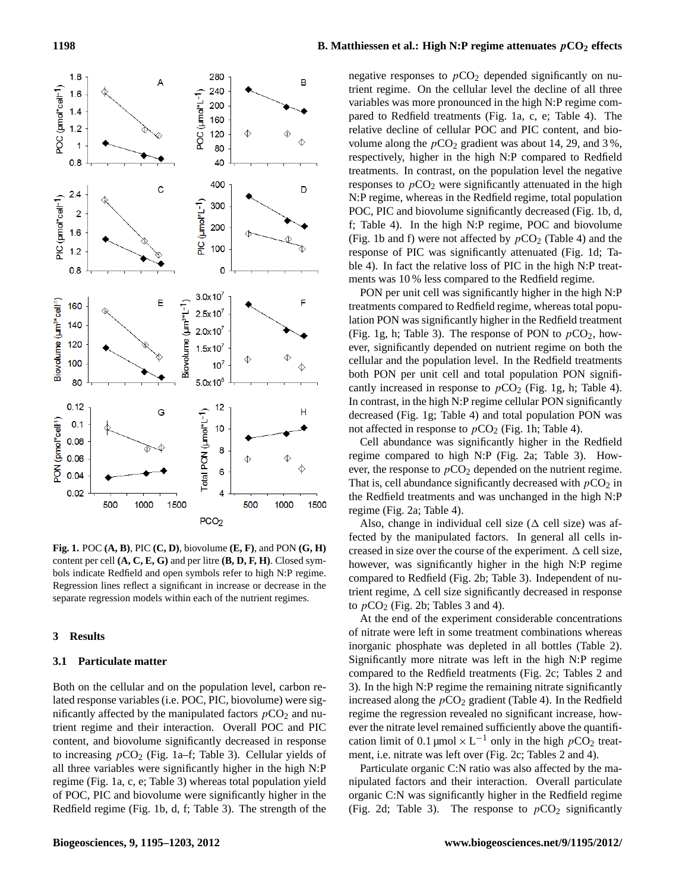

**Fig. 1.** POC **(A, B)**, PIC **(C, D)**, biovolume **(E, F)**, and PON **(G, H)** content per cell **(A, C, E, G)** and per litre **(B, D, F, H)**. Closed symbols indicate Redfield and open symbols refer to high N:P regime. Regression lines reflect a significant in increase or decrease in the separate regression models within each of the nutrient regimes.

#### **3 Results**

#### **3.1 Particulate matter**

Both on the cellular and on the population level, carbon related response variables (i.e. POC, PIC, biovolume) were significantly affected by the manipulated factors  $pCO_2$  and nutrient regime and their interaction. Overall POC and PIC content, and biovolume significantly decreased in response to increasing  $pCO<sub>2</sub>$  (Fig. 1a–f; Table 3). Cellular yields of all three variables were significantly higher in the high N:P regime (Fig. 1a, c, e; Table 3) whereas total population yield of POC, PIC and biovolume were significantly higher in the Redfield regime (Fig. 1b, d, f; Table 3). The strength of the

### **1198 B.** Matthiessen et al.: High N:P regime attenuates  $pCO_2$  effects

negative responses to  $pCO<sub>2</sub>$  depended significantly on nutrient regime. On the cellular level the decline of all three variables was more pronounced in the high N:P regime compared to Redfield treatments (Fig. 1a, c, e; Table 4). The relative decline of cellular POC and PIC content, and biovolume along the  $pCO_2$  gradient was about 14, 29, and 3%, respectively, higher in the high N:P compared to Redfield treatments. In contrast, on the population level the negative responses to  $pCO<sub>2</sub>$  were significantly attenuated in the high N:P regime, whereas in the Redfield regime, total population POC, PIC and biovolume significantly decreased (Fig. 1b, d, f; Table 4). In the high N:P regime, POC and biovolume (Fig. 1b and f) were not affected by  $pCO_2$  (Table 4) and the response of PIC was significantly attenuated (Fig. 1d; Table 4). In fact the relative loss of PIC in the high N:P treatments was 10 % less compared to the Redfield regime.

PON per unit cell was significantly higher in the high N:P treatments compared to Redfield regime, whereas total population PON was significantly higher in the Redfield treatment (Fig. 1g, h; Table 3). The response of PON to  $pCO<sub>2</sub>$ , however, significantly depended on nutrient regime on both the cellular and the population level. In the Redfield treatments both PON per unit cell and total population PON significantly increased in response to  $pCO<sub>2</sub>$  (Fig. 1g, h; Table 4). In contrast, in the high N:P regime cellular PON significantly decreased (Fig. 1g; Table 4) and total population PON was not affected in response to  $pCO<sub>2</sub>$  (Fig. 1h; Table 4).

Cell abundance was significantly higher in the Redfield regime compared to high N:P (Fig. 2a; Table 3). However, the response to  $pCO<sub>2</sub>$  depended on the nutrient regime. That is, cell abundance significantly decreased with  $pCO<sub>2</sub>$  in the Redfield treatments and was unchanged in the high N:P regime (Fig. 2a; Table 4).

Also, change in individual cell size ( $\Delta$  cell size) was affected by the manipulated factors. In general all cells increased in size over the course of the experiment.  $\Delta$  cell size, however, was significantly higher in the high N:P regime compared to Redfield (Fig. 2b; Table 3). Independent of nutrient regime,  $\Delta$  cell size significantly decreased in response to  $pCO<sub>2</sub>$  (Fig. 2b; Tables 3 and 4).

At the end of the experiment considerable concentrations of nitrate were left in some treatment combinations whereas inorganic phosphate was depleted in all bottles (Table 2). Significantly more nitrate was left in the high N:P regime compared to the Redfield treatments (Fig. 2c; Tables 2 and 3). In the high N:P regime the remaining nitrate significantly increased along the  $pCO_2$  gradient (Table 4). In the Redfield regime the regression revealed no significant increase, however the nitrate level remained sufficiently above the quantification limit of 0.1 µmol  $\times L^{-1}$  only in the high  $pCO_2$  treatment, i.e. nitrate was left over (Fig. 2c; Tables 2 and 4).

Particulate organic C:N ratio was also affected by the manipulated factors and their interaction. Overall particulate organic C:N was significantly higher in the Redfield regime (Fig. 2d; Table 3). The response to  $pCO<sub>2</sub>$  significantly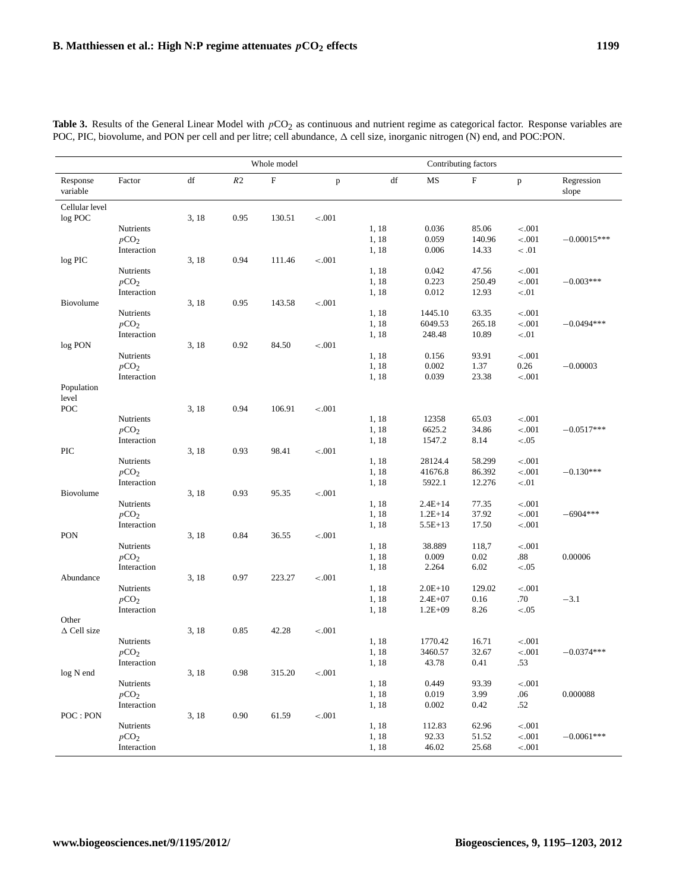|                       |                               | Whole model            |          |                           |         | Contributing factors   |                |                 |                    |                     |
|-----------------------|-------------------------------|------------------------|----------|---------------------------|---------|------------------------|----------------|-----------------|--------------------|---------------------|
| Response<br>variable  | Factor                        | $\mathrm{d}\mathrm{f}$ | R2       | $\boldsymbol{\mathrm{F}}$ | p       | $\mathrm{d}\mathrm{f}$ | MS             | ${\rm F}$       | $\, {\bf p}$       | Regression<br>slope |
| Cellular level        |                               |                        |          |                           |         |                        |                |                 |                    |                     |
| log POC               |                               | 3, 18                  | 0.95     | 130.51                    | $-.001$ |                        |                |                 |                    |                     |
|                       | Nutrients                     |                        |          |                           |         | 1, 18                  | 0.036          | 85.06           | $-.001$            |                     |
|                       | pCO <sub>2</sub>              |                        |          |                           |         | 1, 18                  | 0.059          | 140.96          | $-.001$            | $-0.00015***$       |
|                       | Interaction                   |                        |          |                           |         | 1, 18                  | 0.006          | 14.33           | < 0.01             |                     |
| log PIC               |                               | 3, 18                  | 0.94     | 111.46                    | $-.001$ |                        |                |                 |                    |                     |
|                       | Nutrients<br>pCO <sub>2</sub> |                        |          |                           |         | 1, 18<br>1, 18         | 0.042<br>0.223 | 47.56<br>250.49 | $-.001$<br>$-.001$ | $-0.003***$         |
|                       | Interaction                   |                        |          |                           |         | 1, 18                  | 0.012          | 12.93           | $-.01$             |                     |
| Biovolume             |                               | 3, 18                  | 0.95     | 143.58                    | $-.001$ |                        |                |                 |                    |                     |
|                       | Nutrients                     |                        |          |                           |         | 1, 18                  | 1445.10        | 63.35           | $-.001$            |                     |
|                       | pCO <sub>2</sub>              |                        |          |                           |         | 1, 18                  | 6049.53        | 265.18          | $-.001$            | $-0.0494***$        |
|                       | Interaction                   |                        |          |                           |         | 1, 18                  | 248.48         | 10.89           | $< 01$             |                     |
| log PON               |                               | 3, 18                  | 0.92     | 84.50                     | $-.001$ |                        |                |                 |                    |                     |
|                       | Nutrients                     |                        |          |                           |         | 1, 18                  | 0.156          | 93.91           | $-.001$            |                     |
|                       | pCO <sub>2</sub>              |                        |          |                           |         | 1, 18                  | 0.002          | 1.37            | 0.26               | $-0.00003$          |
|                       | Interaction                   |                        |          |                           |         | 1, 18                  | 0.039          | 23.38           | $-.001$            |                     |
| Population            |                               |                        |          |                           |         |                        |                |                 |                    |                     |
| level                 |                               |                        |          |                           |         |                        |                |                 |                    |                     |
| POC                   |                               | 3, 18                  | 0.94     | 106.91                    | $-.001$ |                        |                |                 |                    |                     |
|                       | Nutrients                     |                        |          |                           |         | 1, 18                  | 12358          | 65.03           | $-.001$            |                     |
|                       | pCO <sub>2</sub>              |                        |          |                           |         | 1, 18                  | 6625.2         | 34.86           | $-.001$            | $-0.0517***$        |
| PIC                   | Interaction                   | 3, 18                  | 0.93     | 98.41                     | $-.001$ | 1, 18                  | 1547.2         | 8.14            | < .05              |                     |
|                       | Nutrients                     |                        |          |                           |         | 1, 18                  | 28124.4        | 58.299          | $-.001$            |                     |
|                       | pCO <sub>2</sub>              |                        |          |                           |         | 1, 18                  | 41676.8        | 86.392          | $-.001$            | $-0.130***$         |
|                       | Interaction                   |                        |          |                           |         | 1, 18                  | 5922.1         | 12.276          | $< 01$             |                     |
| Biovolume             |                               | 3, 18                  | 0.93     | 95.35                     | $-.001$ |                        |                |                 |                    |                     |
|                       | Nutrients                     |                        |          |                           |         | 1, 18                  | $2.4E+14$      | 77.35           | $-.001$            |                     |
|                       | pCO <sub>2</sub>              |                        |          |                           |         | 1, 18                  | $1.2E+14$      | 37.92           | $-.001$            | $-6904***$          |
|                       | Interaction                   |                        |          |                           |         | 1, 18                  | $5.5E+13$      | 17.50           | $-.001$            |                     |
| PON                   |                               | 3, 18                  | 0.84     | 36.55                     | $-.001$ |                        |                |                 |                    |                     |
|                       | Nutrients                     |                        |          |                           |         | 1, 18                  | 38.889         | 118,7           | $-.001$            |                     |
|                       | pCO <sub>2</sub>              |                        |          |                           |         | 1, 18                  | 0.009          | 0.02            | $.88\,$            | 0.00006             |
|                       | Interaction                   |                        |          |                           |         | 1, 18                  | 2.264          | 6.02            | < .05              |                     |
| Abundance             |                               | 3, 18                  | 0.97     | 223.27                    | < .001  |                        |                |                 |                    |                     |
|                       | Nutrients                     |                        |          |                           |         | 1, 18                  | $2.0E+10$      | 129.02          | $-.001$            |                     |
|                       | pCO <sub>2</sub>              |                        |          |                           |         | 1, 18                  | $2.4E + 07$    | 0.16            | .70                | $-3.1$              |
|                       | Interaction                   |                        |          |                           |         | 1, 18                  | $1.2E + 09$    | 8.26            | < .05              |                     |
| Other                 |                               |                        |          |                           |         |                        |                |                 |                    |                     |
| $\triangle$ Cell size | Nutrients                     | 3, 18                  | 0.85     | 42.28                     | $-.001$ |                        | 1770.42        |                 |                    |                     |
|                       | pCO <sub>2</sub>              |                        |          |                           |         | 1, 18<br>1, 18         | 3460.57        | 16.71<br>32.67  | $-.001$<br>$-.001$ | $-0.0374***$        |
|                       | Interaction                   |                        |          |                           |         | 1, 18                  | 43.78          | 0.41            | .53                |                     |
| log N end             |                               | 3, 18                  | 0.98     | 315.20                    | $-.001$ |                        |                |                 |                    |                     |
|                       | Nutrients                     |                        |          |                           |         | 1, 18                  | 0.449          | 93.39           | $-.001$            |                     |
|                       | pCO <sub>2</sub>              |                        |          |                           |         | 1, 18                  | 0.019          | 3.99            | .06                | 0.000088            |
|                       | Interaction                   |                        |          |                           |         | 1, 18                  | 0.002          | 0.42            | .52                |                     |
| POC: PON              |                               | 3, 18                  | $0.90\,$ | 61.59                     | $<.001$ |                        |                |                 |                    |                     |
|                       | Nutrients                     |                        |          |                           |         | 1, 18                  | 112.83         | 62.96           | $-.001$            |                     |
|                       | pCO <sub>2</sub>              |                        |          |                           |         | 1, 18                  | 92.33          | 51.52           | $<.001$            | $-0.0061***$        |
|                       | Interaction                   |                        |          |                           |         | 1, 18                  | 46.02          | 25.68           | $<.001$            |                     |

**Table 3.** Results of the General Linear Model with  $pCO_2$  as continuous and nutrient regime as categorical factor. Response variables are POC, PIC, biovolume, and PON per cell and per litre; cell abundance,  $\Delta$  cell size, inorganic nitrogen (N) end, and POC:PON.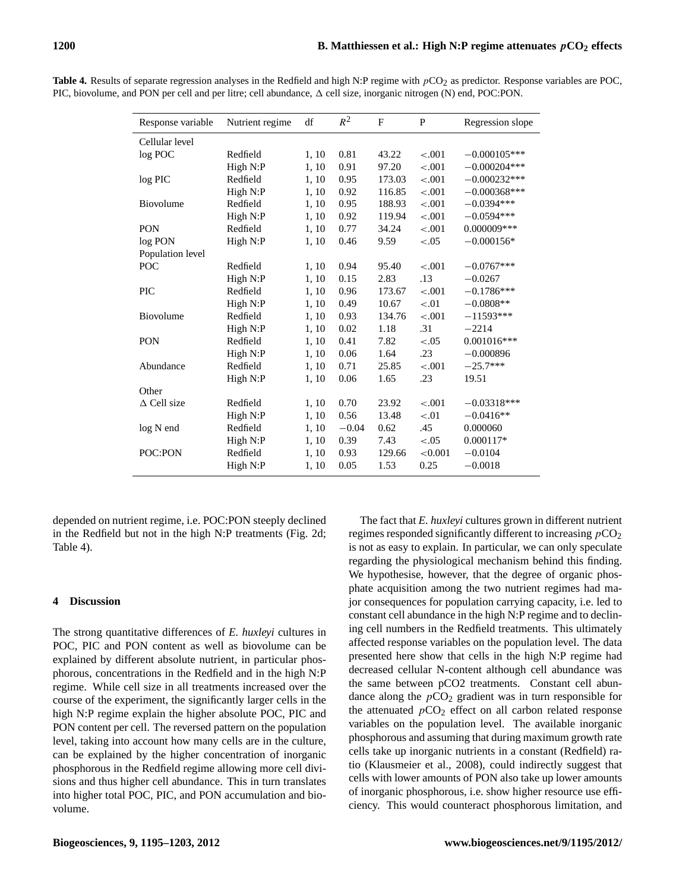| Response variable     | Nutrient regime | df    | $R^2$   | F      | P       | Regression slope |
|-----------------------|-----------------|-------|---------|--------|---------|------------------|
| Cellular level        |                 |       |         |        |         |                  |
| log POC               | Redfield        | 1, 10 | 0.81    | 43.22  | $-.001$ | $-0.000105***$   |
|                       | High N:P        | 1, 10 | 0.91    | 97.20  | $-.001$ | $-0.000204***$   |
| $log$ PIC             | Redfield        | 1, 10 | 0.95    | 173.03 | $-.001$ | $-0.000232***$   |
|                       | High N:P        | 1, 10 | 0.92    | 116.85 | $-.001$ | $-0.000368***$   |
| Biovolume             | Redfield        | 1, 10 | 0.95    | 188.93 | $-.001$ | $-0.0394***$     |
|                       | High N:P        | 1, 10 | 0.92    | 119.94 | $-.001$ | $-0.0594***$     |
| <b>PON</b>            | Redfield        | 1, 10 | 0.77    | 34.24  | $-.001$ | $0.000009***$    |
| log PON               | High N:P        | 1, 10 | 0.46    | 9.59   | $-.05$  | $-0.000156*$     |
| Population level      |                 |       |         |        |         |                  |
| POC                   | Redfield        | 1, 10 | 0.94    | 95.40  | $-.001$ | $-0.0767***$     |
|                       | High N:P        | 1, 10 | 0.15    | 2.83   | .13     | $-0.0267$        |
| PIC                   | Redfield        | 1, 10 | 0.96    | 173.67 | $-.001$ | $-0.1786***$     |
|                       | High N:P        | 1, 10 | 0.49    | 10.67  | $-.01$  | $-0.0808**$      |
| Biovolume             | Redfield        | 1, 10 | 0.93    | 134.76 | $-.001$ | $-11593***$      |
|                       | High N:P        | 1, 10 | 0.02    | 1.18   | .31     | $-2214$          |
| <b>PON</b>            | Redfield        | 1, 10 | 0.41    | 7.82   | $-.05$  | $0.001016***$    |
|                       | High N:P        | 1, 10 | 0.06    | 1.64   | .23     | $-0.000896$      |
| Abundance             | Redfield        | 1, 10 | 0.71    | 25.85  | $-.001$ | $-25.7***$       |
|                       | High N:P        | 1, 10 | 0.06    | 1.65   | .23     | 19.51            |
| Other                 |                 |       |         |        |         |                  |
| $\triangle$ Cell size | Redfield        | 1, 10 | 0.70    | 23.92  | < .001  | $-0.03318***$    |
|                       | High N:P        | 1, 10 | 0.56    | 13.48  | $-.01$  | $-0.0416**$      |
| log N end             | Redfield        | 1, 10 | $-0.04$ | 0.62   | .45     | 0.000060         |
|                       | High N:P        | 1, 10 | 0.39    | 7.43   | $-.05$  | 0.000117*        |
| POC:PON               | Redfield        | 1, 10 | 0.93    | 129.66 | < 0.001 | $-0.0104$        |
|                       | High N:P        | 1, 10 | 0.05    | 1.53   | 0.25    | $-0.0018$        |
|                       |                 |       |         |        |         |                  |

**Table 4.** Results of separate regression analyses in the Redfield and high N:P regime with  $pCO<sub>2</sub>$  as predictor. Response variables are POC, PIC, biovolume, and PON per cell and per litre; cell abundance,  $\Delta$  cell size, inorganic nitrogen (N) end, POC:PON.

depended on nutrient regime, i.e. POC:PON steeply declined in the Redfield but not in the high N:P treatments (Fig. 2d; Table 4).

## **4 Discussion**

The strong quantitative differences of *E. huxleyi* cultures in POC, PIC and PON content as well as biovolume can be explained by different absolute nutrient, in particular phosphorous, concentrations in the Redfield and in the high N:P regime. While cell size in all treatments increased over the course of the experiment, the significantly larger cells in the high N:P regime explain the higher absolute POC, PIC and PON content per cell. The reversed pattern on the population level, taking into account how many cells are in the culture, can be explained by the higher concentration of inorganic phosphorous in the Redfield regime allowing more cell divisions and thus higher cell abundance. This in turn translates into higher total POC, PIC, and PON accumulation and biovolume.

The fact that *E. huxleyi* cultures grown in different nutrient regimes responded significantly different to increasing  $pCO<sub>2</sub>$ is not as easy to explain. In particular, we can only speculate regarding the physiological mechanism behind this finding. We hypothesise, however, that the degree of organic phosphate acquisition among the two nutrient regimes had major consequences for population carrying capacity, i.e. led to constant cell abundance in the high N:P regime and to declining cell numbers in the Redfield treatments. This ultimately affected response variables on the population level. The data presented here show that cells in the high N:P regime had decreased cellular N-content although cell abundance was the same between pCO2 treatments. Constant cell abundance along the  $pCO<sub>2</sub>$  gradient was in turn responsible for the attenuated  $pCO<sub>2</sub>$  effect on all carbon related response variables on the population level. The available inorganic phosphorous and assuming that during maximum growth rate cells take up inorganic nutrients in a constant (Redfield) ratio (Klausmeier et al., 2008), could indirectly suggest that cells with lower amounts of PON also take up lower amounts of inorganic phosphorous, i.e. show higher resource use efficiency. This would counteract phosphorous limitation, and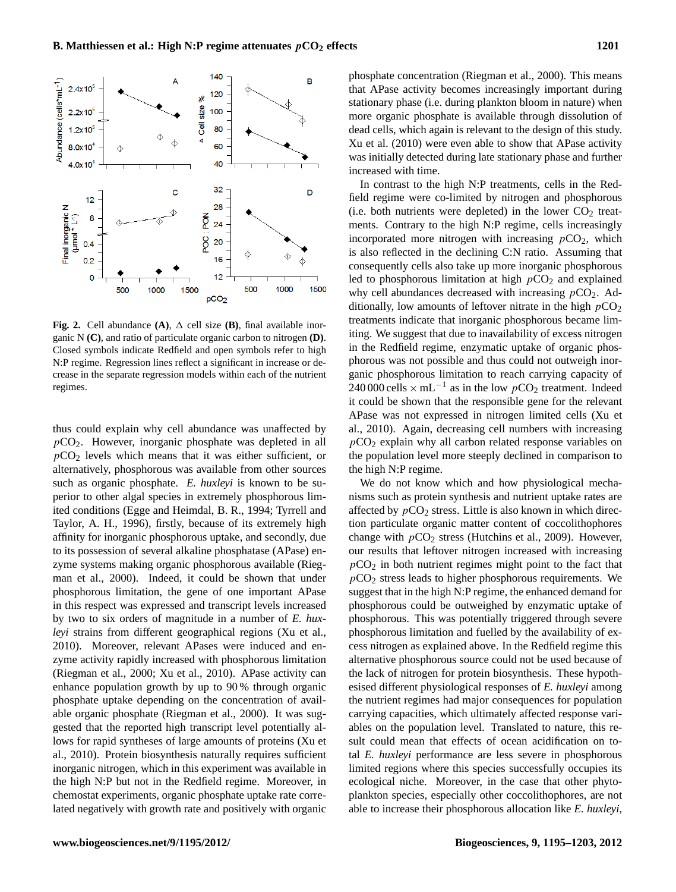

**Fig. 2.** Cell abundance  $(A)$ ,  $\Delta$  cell size  $(B)$ , final available inorganic N **(C)**, and ratio of particulate organic carbon to nitrogen **(D)**. Closed symbols indicate Redfield and open symbols refer to high N:P regime. Regression lines reflect a significant in increase or decrease in the separate regression models within each of the nutrient regimes.

thus could explain why cell abundance was unaffected by  $pCO<sub>2</sub>$ . However, inorganic phosphate was depleted in all  $pCO<sub>2</sub>$  levels which means that it was either sufficient, or alternatively, phosphorous was available from other sources such as organic phosphate. *E. huxleyi* is known to be superior to other algal species in extremely phosphorous limited conditions (Egge and Heimdal, B. R., 1994; Tyrrell and Taylor, A. H., 1996), firstly, because of its extremely high affinity for inorganic phosphorous uptake, and secondly, due to its possession of several alkaline phosphatase (APase) enzyme systems making organic phosphorous available (Riegman et al., 2000). Indeed, it could be shown that under phosphorous limitation, the gene of one important APase in this respect was expressed and transcript levels increased by two to six orders of magnitude in a number of *E. huxleyi* strains from different geographical regions (Xu et al., 2010). Moreover, relevant APases were induced and enzyme activity rapidly increased with phosphorous limitation (Riegman et al., 2000; Xu et al., 2010). APase activity can enhance population growth by up to 90 % through organic phosphate uptake depending on the concentration of available organic phosphate (Riegman et al., 2000). It was suggested that the reported high transcript level potentially allows for rapid syntheses of large amounts of proteins (Xu et al., 2010). Protein biosynthesis naturally requires sufficient inorganic nitrogen, which in this experiment was available in the high N:P but not in the Redfield regime. Moreover, in chemostat experiments, organic phosphate uptake rate correlated negatively with growth rate and positively with organic phosphate concentration (Riegman et al., 2000). This means that APase activity becomes increasingly important during stationary phase (i.e. during plankton bloom in nature) when more organic phosphate is available through dissolution of dead cells, which again is relevant to the design of this study. Xu et al. (2010) were even able to show that APase activity was initially detected during late stationary phase and further increased with time.

In contrast to the high N:P treatments, cells in the Redfield regime were co-limited by nitrogen and phosphorous (i.e. both nutrients were depleted) in the lower  $CO<sub>2</sub>$  treatments. Contrary to the high N:P regime, cells increasingly incorporated more nitrogen with increasing  $pCO<sub>2</sub>$ , which is also reflected in the declining C:N ratio. Assuming that consequently cells also take up more inorganic phosphorous led to phosphorous limitation at high  $pCO<sub>2</sub>$  and explained why cell abundances decreased with increasing  $pCO<sub>2</sub>$ . Additionally, low amounts of leftover nitrate in the high  $pCO<sub>2</sub>$ treatments indicate that inorganic phosphorous became limiting. We suggest that due to inavailability of excess nitrogen in the Redfield regime, enzymatic uptake of organic phosphorous was not possible and thus could not outweigh inorganic phosphorous limitation to reach carrying capacity of 240 000 cells  $\times$  mL<sup>-1</sup> as in the low  $pCO_2$  treatment. Indeed it could be shown that the responsible gene for the relevant APase was not expressed in nitrogen limited cells (Xu et al., 2010). Again, decreasing cell numbers with increasing  $pCO<sub>2</sub>$  explain why all carbon related response variables on the population level more steeply declined in comparison to the high N:P regime.

We do not know which and how physiological mechanisms such as protein synthesis and nutrient uptake rates are affected by  $pCO<sub>2</sub>$  stress. Little is also known in which direction particulate organic matter content of coccolithophores change with  $pCO<sub>2</sub>$  stress (Hutchins et al., 2009). However, our results that leftover nitrogen increased with increasing  $pCO<sub>2</sub>$  in both nutrient regimes might point to the fact that  $pCO<sub>2</sub>$  stress leads to higher phosphorous requirements. We suggest that in the high N:P regime, the enhanced demand for phosphorous could be outweighed by enzymatic uptake of phosphorous. This was potentially triggered through severe phosphorous limitation and fuelled by the availability of excess nitrogen as explained above. In the Redfield regime this alternative phosphorous source could not be used because of the lack of nitrogen for protein biosynthesis. These hypothesised different physiological responses of *E. huxleyi* among the nutrient regimes had major consequences for population carrying capacities, which ultimately affected response variables on the population level. Translated to nature, this result could mean that effects of ocean acidification on total *E. huxleyi* performance are less severe in phosphorous limited regions where this species successfully occupies its ecological niche. Moreover, in the case that other phytoplankton species, especially other coccolithophores, are not able to increase their phosphorous allocation like *E. huxleyi*,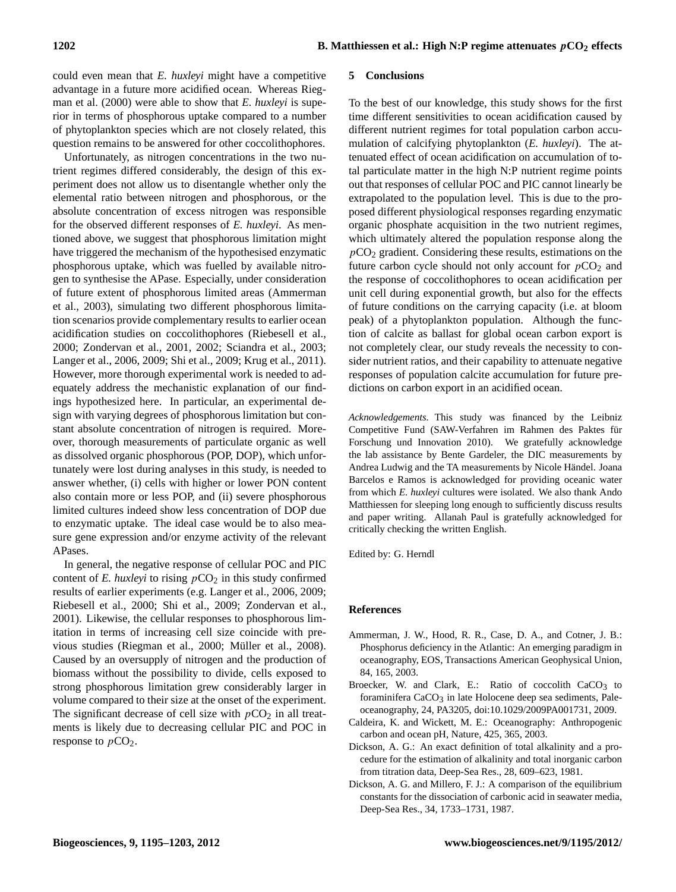could even mean that *E. huxleyi* might have a competitive advantage in a future more acidified ocean. Whereas Riegman et al. (2000) were able to show that *E. huxleyi* is superior in terms of phosphorous uptake compared to a number of phytoplankton species which are not closely related, this question remains to be answered for other coccolithophores.

Unfortunately, as nitrogen concentrations in the two nutrient regimes differed considerably, the design of this experiment does not allow us to disentangle whether only the elemental ratio between nitrogen and phosphorous, or the absolute concentration of excess nitrogen was responsible for the observed different responses of *E. huxleyi*. As mentioned above, we suggest that phosphorous limitation might have triggered the mechanism of the hypothesised enzymatic phosphorous uptake, which was fuelled by available nitrogen to synthesise the APase. Especially, under consideration of future extent of phosphorous limited areas (Ammerman et al., 2003), simulating two different phosphorous limitation scenarios provide complementary results to earlier ocean acidification studies on coccolithophores (Riebesell et al., 2000; Zondervan et al., 2001, 2002; Sciandra et al., 2003; Langer et al., 2006, 2009; Shi et al., 2009; Krug et al., 2011). However, more thorough experimental work is needed to adequately address the mechanistic explanation of our findings hypothesized here. In particular, an experimental design with varying degrees of phosphorous limitation but constant absolute concentration of nitrogen is required. Moreover, thorough measurements of particulate organic as well as dissolved organic phosphorous (POP, DOP), which unfortunately were lost during analyses in this study, is needed to answer whether, (i) cells with higher or lower PON content also contain more or less POP, and (ii) severe phosphorous limited cultures indeed show less concentration of DOP due to enzymatic uptake. The ideal case would be to also measure gene expression and/or enzyme activity of the relevant APases.

In general, the negative response of cellular POC and PIC content of *E. huxleyi* to rising  $pCO<sub>2</sub>$  in this study confirmed results of earlier experiments (e.g. Langer et al., 2006, 2009; Riebesell et al., 2000; Shi et al., 2009; Zondervan et al., 2001). Likewise, the cellular responses to phosphorous limitation in terms of increasing cell size coincide with previous studies (Riegman et al., 2000; Müller et al., 2008). Caused by an oversupply of nitrogen and the production of biomass without the possibility to divide, cells exposed to strong phosphorous limitation grew considerably larger in volume compared to their size at the onset of the experiment. The significant decrease of cell size with  $pCO<sub>2</sub>$  in all treatments is likely due to decreasing cellular PIC and POC in response to  $pCO<sub>2</sub>$ .

#### **5 Conclusions**

To the best of our knowledge, this study shows for the first time different sensitivities to ocean acidification caused by different nutrient regimes for total population carbon accumulation of calcifying phytoplankton (*E. huxleyi*). The attenuated effect of ocean acidification on accumulation of total particulate matter in the high N:P nutrient regime points out that responses of cellular POC and PIC cannot linearly be extrapolated to the population level. This is due to the proposed different physiological responses regarding enzymatic organic phosphate acquisition in the two nutrient regimes, which ultimately altered the population response along the  $pCO<sub>2</sub>$  gradient. Considering these results, estimations on the future carbon cycle should not only account for  $pCO<sub>2</sub>$  and the response of coccolithophores to ocean acidification per unit cell during exponential growth, but also for the effects of future conditions on the carrying capacity (i.e. at bloom peak) of a phytoplankton population. Although the function of calcite as ballast for global ocean carbon export is not completely clear, our study reveals the necessity to consider nutrient ratios, and their capability to attenuate negative responses of population calcite accumulation for future predictions on carbon export in an acidified ocean.

*Acknowledgements.* This study was financed by the Leibniz Competitive Fund (SAW-Verfahren im Rahmen des Paktes für Forschung und Innovation 2010). We gratefully acknowledge the lab assistance by Bente Gardeler, the DIC measurements by Andrea Ludwig and the TA measurements by Nicole Händel. Joana Barcelos e Ramos is acknowledged for providing oceanic water from which *E. huxleyi* cultures were isolated. We also thank Ando Matthiessen for sleeping long enough to sufficiently discuss results and paper writing. Allanah Paul is gratefully acknowledged for critically checking the written English.

Edited by: G. Herndl

#### **References**

- Ammerman, J. W., Hood, R. R., Case, D. A., and Cotner, J. B.: Phosphorus deficiency in the Atlantic: An emerging paradigm in oceanography, EOS, Transactions American Geophysical Union, 84, 165, 2003.
- Broecker, W. and Clark, E.: Ratio of coccolith CaCO<sub>3</sub> to foraminifera  $CaCO<sub>3</sub>$  in late Holocene deep sea sediments, Paleoceanography, 24, PA3205, doi:10.1029/2009PA001731, 2009.
- Caldeira, K. and Wickett, M. E.: Oceanography: Anthropogenic carbon and ocean pH, Nature, 425, 365, 2003.
- Dickson, A. G.: An exact definition of total alkalinity and a procedure for the estimation of alkalinity and total inorganic carbon from titration data, Deep-Sea Res., 28, 609–623, 1981.
- Dickson, A. G. and Millero, F. J.: A comparison of the equilibrium constants for the dissociation of carbonic acid in seawater media, Deep-Sea Res., 34, 1733–1731, 1987.